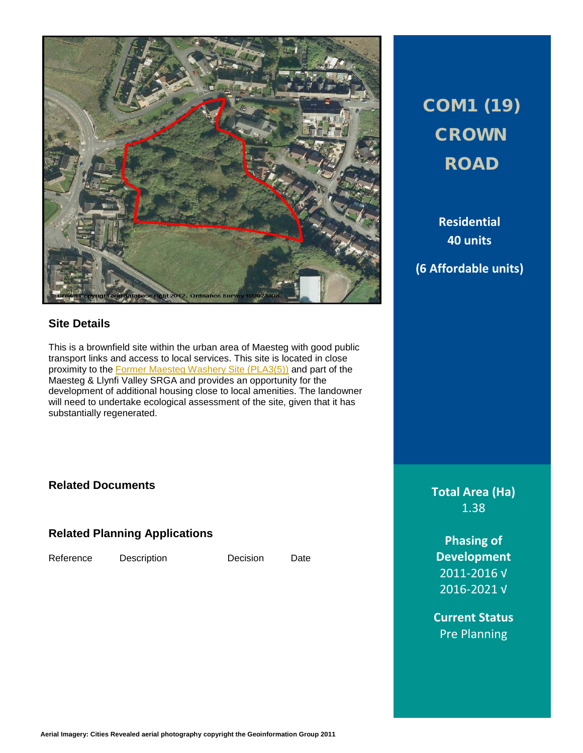

# COM1 (19) **CROWN ROAD**

**Residential 40 units**

## **(6 Affordable units)**

### **Site Details**

This is a brownfield site within the urban area of Maesteg with good public transport links and access to local services. This site is located in close proximity to the **Former Maesteg Washery Site (PLA3(5))** and part of the Maesteg & Llynfi Valley SRGA and provides an opportunity for the development of additional housing close to local amenities. The landowner will need to undertake ecological assessment of the site, given that it has substantially regenerated.

### **Related Documents**

**Related Planning Applications**

Reference Description Decision Date

**Total Area (Ha)** 1.38

**Phasing of Development** 2011-2016 √ 2016-2021 √

**Current Status** Pre Planning